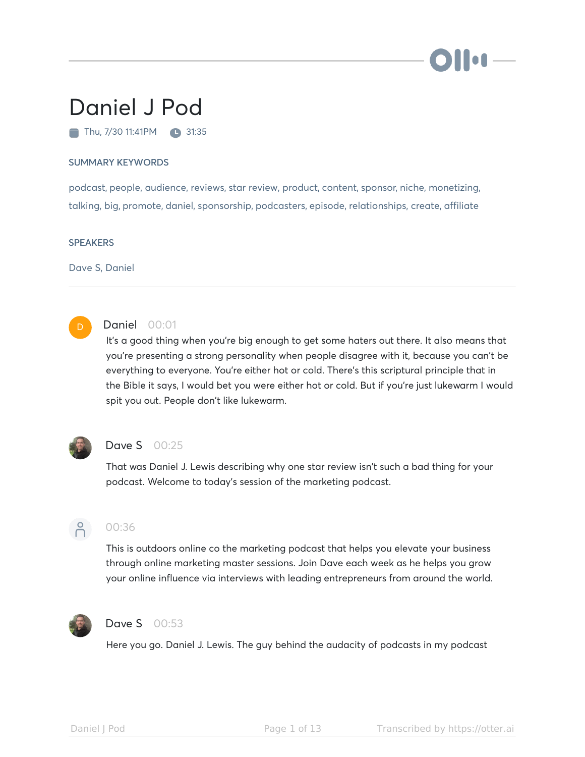

# Daniel J Pod

Thu, 7/30 11:41PM 31:35

#### SUMMARY KEYWORDS

podcast, people, audience, reviews, star review, product, content, sponsor, niche, monetizing, talking, big, promote, daniel, sponsorship, podcasters, episode, relationships, create, affiliate

#### **SPEAKERS**

Dave S, Daniel



## Daniel 00:01

It's a good thing when you're big enough to get some haters out there. It also means that you're presenting a strong personality when people disagree with it, because you can't be everything to everyone. You're either hot or cold. There's this scriptural principle that in the Bible it says, I would bet you were either hot or cold. But if you're just lukewarm I would spit you out. People don't like lukewarm.



## **Dave S** 00:25

That was Daniel J. Lewis describing why one star review isn't such a bad thing for your podcast. Welcome to today's session of the marketing podcast.



## 00:36

This is outdoors online co the marketing podcast that helps you elevate your business through online marketing master sessions. Join Dave each week as he helps you grow your online influence via interviews with leading entrepreneurs from around the world.



#### Dave S 00:53

Here you go. Daniel J. Lewis. The guy behind the audacity of podcasts in my podcast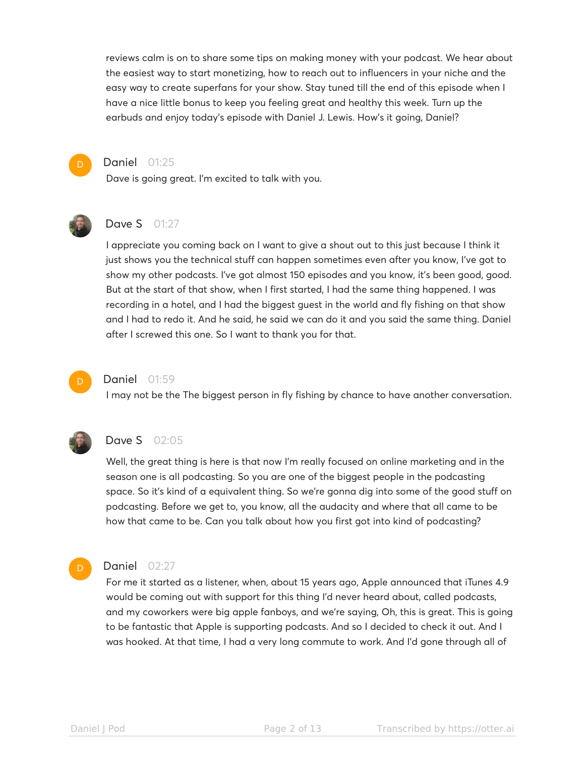reviews calm is on to share some tips on making money with your podcast. We hear about the easiest way to start monetizing, how to reach out to influencers in your niche and the easy way to create superfans for your show. Stay tuned till the end of this episode when I have a nice little bonus to keep you feeling great and healthy this week. Turn up the earbuds and enjoy today's episode with Daniel J. Lewis. How's it going, Daniel?



#### Daniel 01:25

Dave is going great. I'm excited to talk with you.



## Dave S 01:27

I appreciate you coming back on I want to give a shout out to this just because I think it just shows you the technical stuff can happen sometimes even after you know, I've got to show my other podcasts. I've got almost 150 episodes and you know, it's been good, good. But at the start of that show, when I first started, I had the same thing happened. I was recording in a hotel, and I had the biggest guest in the world and fly fishing on that show and I had to redo it. And he said, he said we can do it and you said the same thing. Daniel after I screwed this one. So I want to thank you for that.



#### Daniel 01:59

I may not be the The biggest person in fly fishing by chance to have another conversation.



#### **Dave S** 02:05

Well, the great thing is here is that now I'm really focused on online marketing and in the season one is all podcasting. So you are one of the biggest people in the podcasting space. So it's kind of a equivalent thing. So we're gonna dig into some of the good stuff on podcasting. Before we get to, you know, all the audacity and where that all came to be how that came to be. Can you talk about how you first got into kind of podcasting?

#### D

## Daniel 02:27

For me it started as a listener, when, about 15 years ago, Apple announced that iTunes 4.9 would be coming out with support for this thing I'd never heard about, called podcasts, and my coworkers were big apple fanboys, and we're saying, Oh, this is great. This is going to be fantastic that Apple is supporting podcasts. And so I decided to check it out. And I was hooked. At that time, I had a very long commute to work. And I'd gone through all of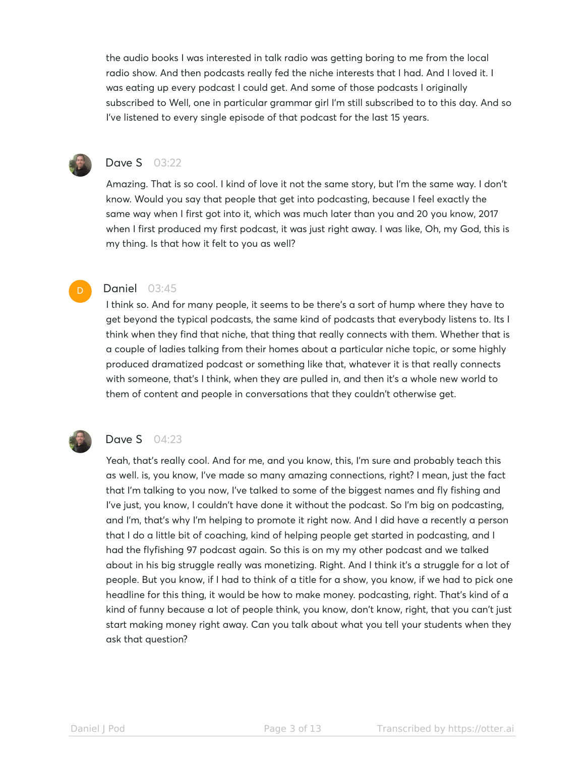the audio books I was interested in talk radio was getting boring to me from the local radio show. And then podcasts really fed the niche interests that I had. And I loved it. I was eating up every podcast I could get. And some of those podcasts I originally subscribed to Well, one in particular grammar girl I'm still subscribed to to this day. And so I've listened to every single episode of that podcast for the last 15 years.



# **Dave S** 03:22

Amazing. That is so cool. I kind of love it not the same story, but I'm the same way. I don't know. Would you say that people that get into podcasting, because I feel exactly the same way when I first got into it, which was much later than you and 20 you know, 2017 when I first produced my first podcast, it was just right away. I was like, Oh, my God, this is my thing. Is that how it felt to you as well?

## **Daniel 03:45**

I think so. And for many people, it seems to be there's a sort of hump where they have to get beyond the typical podcasts, the same kind of podcasts that everybody listens to. Its I think when they find that niche, that thing that really connects with them. Whether that is a couple of ladies talking from their homes about a particular niche topic, or some highly produced dramatized podcast or something like that, whatever it is that really connects with someone, that's I think, when they are pulled in, and then it's a whole new world to them of content and people in conversations that they couldn't otherwise get.



# **Dave S** 04:23

Yeah, that's really cool. And for me, and you know, this, I'm sure and probably teach this as well. is, you know, I've made so many amazing connections, right? I mean, just the fact that I'm talking to you now, I've talked to some of the biggest names and fly fishing and I've just, you know, I couldn't have done it without the podcast. So I'm big on podcasting, and I'm, that's why I'm helping to promote it right now. And I did have a recently a person that I do a little bit of coaching, kind of helping people get started in podcasting, and I had the flyfishing 97 podcast again. So this is on my my other podcast and we talked about in his big struggle really was monetizing. Right. And I think it's a struggle for a lot of people. But you know, if I had to think of a title for a show, you know, if we had to pick one headline for this thing, it would be how to make money. podcasting, right. That's kind of a kind of funny because a lot of people think, you know, don't know, right, that you can't just start making money right away. Can you talk about what you tell your students when they ask that question?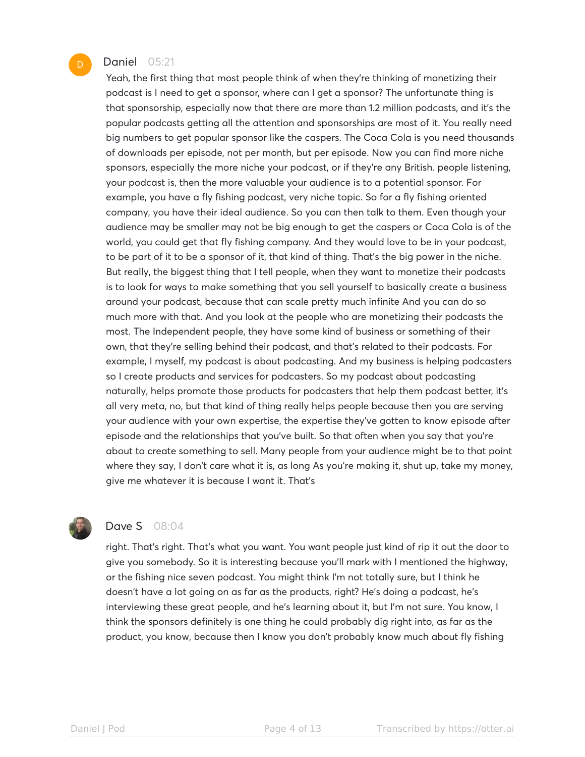#### Daniel 05:21

Yeah, the first thing that most people think of when they're thinking of monetizing their podcast is I need to get a sponsor, where can I get a sponsor? The unfortunate thing is that sponsorship, especially now that there are more than 1.2 million podcasts, and it's the popular podcasts getting all the attention and sponsorships are most of it. You really need big numbers to get popular sponsor like the caspers. The Coca Cola is you need thousands of downloads per episode, not per month, but per episode. Now you can find more niche sponsors, especially the more niche your podcast, or if they're any British. people listening, your podcast is, then the more valuable your audience is to a potential sponsor. For example, you have a fly fishing podcast, very niche topic. So for a fly fishing oriented company, you have their ideal audience. So you can then talk to them. Even though your audience may be smaller may not be big enough to get the caspers or Coca Cola is of the world, you could get that fly fishing company. And they would love to be in your podcast, to be part of it to be a sponsor of it, that kind of thing. That's the big power in the niche. But really, the biggest thing that I tell people, when they want to monetize their podcasts is to look for ways to make something that you sell yourself to basically create a business around your podcast, because that can scale pretty much infinite And you can do so much more with that. And you look at the people who are monetizing their podcasts the most. The Independent people, they have some kind of business or something of their own, that they're selling behind their podcast, and that's related to their podcasts. For example, I myself, my podcast is about podcasting. And my business is helping podcasters so I create products and services for podcasters. So my podcast about podcasting naturally, helps promote those products for podcasters that help them podcast better, it's all very meta, no, but that kind of thing really helps people because then you are serving your audience with your own expertise, the expertise they've gotten to know episode after episode and the relationships that you've built. So that often when you say that you're about to create something to sell. Many people from your audience might be to that point where they say, I don't care what it is, as long As you're making it, shut up, take my money, give me whatever it is because I want it. That's



## **Dave S** 08:04

right. That's right. That's what you want. You want people just kind of rip it out the door to give you somebody. So it is interesting because you'll mark with I mentioned the highway, or the fishing nice seven podcast. You might think I'm not totally sure, but I think he doesn't have a lot going on as far as the products, right? He's doing a podcast, he's interviewing these great people, and he's learning about it, but I'm not sure. You know, I think the sponsors definitely is one thing he could probably dig right into, as far as the product, you know, because then I know you don't probably know much about fly fishing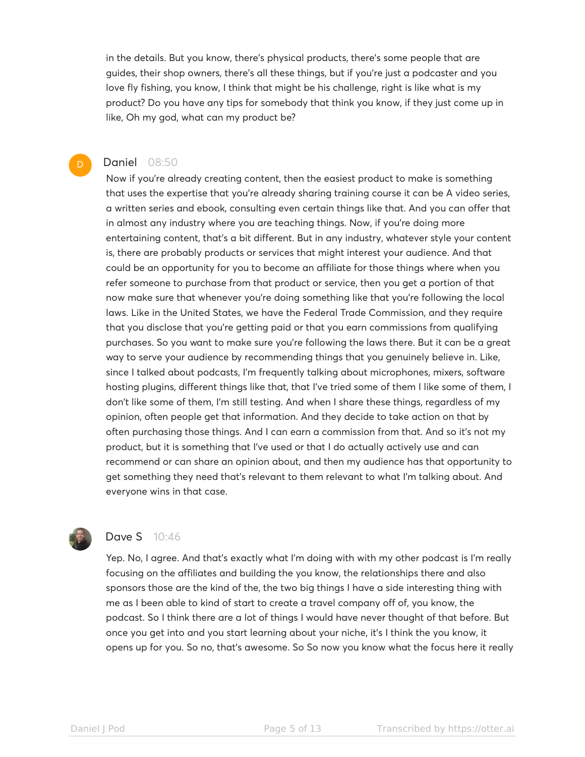in the details. But you know, there's physical products, there's some people that are guides, their shop owners, there's all these things, but if you're just a podcaster and you love fly fishing, you know, I think that might be his challenge, right is like what is my product? Do you have any tips for somebody that think you know, if they just come up in like, Oh my god, what can my product be?

#### Daniel 08:50

D

Now if you're already creating content, then the easiest product to make is something that uses the expertise that you're already sharing training course it can be A video series, a written series and ebook, consulting even certain things like that. And you can offer that in almost any industry where you are teaching things. Now, if you're doing more entertaining content, that's a bit different. But in any industry, whatever style your content is, there are probably products or services that might interest your audience. And that could be an opportunity for you to become an affiliate for those things where when you refer someone to purchase from that product or service, then you get a portion of that now make sure that whenever you're doing something like that you're following the local laws. Like in the United States, we have the Federal Trade Commission, and they require that you disclose that you're getting paid or that you earn commissions from qualifying purchases. So you want to make sure you're following the laws there. But it can be a great way to serve your audience by recommending things that you genuinely believe in. Like, since I talked about podcasts, I'm frequently talking about microphones, mixers, software hosting plugins, different things like that, that I've tried some of them I like some of them, I don't like some of them, I'm still testing. And when I share these things, regardless of my opinion, often people get that information. And they decide to take action on that by often purchasing those things. And I can earn a commission from that. And so it's not my product, but it is something that I've used or that I do actually actively use and can recommend or can share an opinion about, and then my audience has that opportunity to get something they need that's relevant to them relevant to what I'm talking about. And everyone wins in that case.



# **Dave S** 10:46

Yep. No, I agree. And that's exactly what I'm doing with with my other podcast is I'm really focusing on the affiliates and building the you know, the relationships there and also sponsors those are the kind of the, the two big things I have a side interesting thing with me as I been able to kind of start to create a travel company off of, you know, the podcast. So I think there are a lot of things I would have never thought of that before. But once you get into and you start learning about your niche, it's I think the you know, it opens up for you. So no, that's awesome. So So now you know what the focus here it really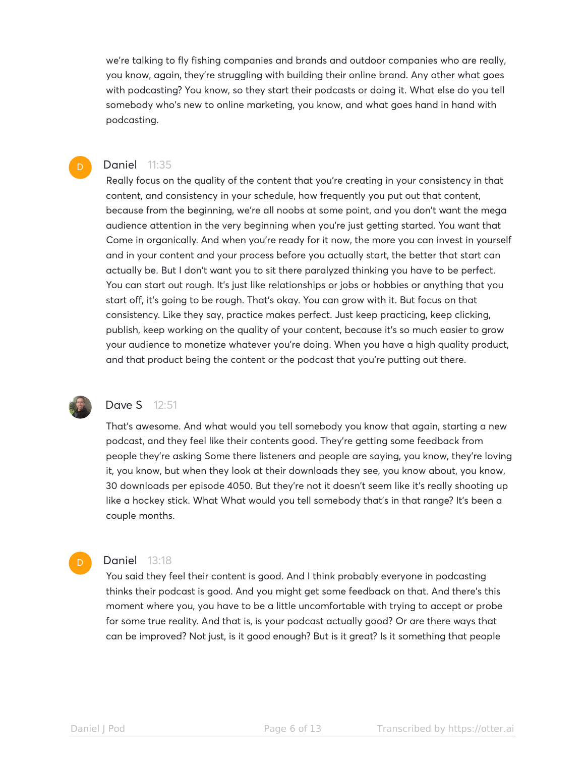we're talking to fly fishing companies and brands and outdoor companies who are really, you know, again, they're struggling with building their online brand. Any other what goes with podcasting? You know, so they start their podcasts or doing it. What else do you tell somebody who's new to online marketing, you know, and what goes hand in hand with podcasting.

#### Daniel 11:35

Really focus on the quality of the content that you're creating in your consistency in that content, and consistency in your schedule, how frequently you put out that content, because from the beginning, we're all noobs at some point, and you don't want the mega audience attention in the very beginning when you're just getting started. You want that Come in organically. And when you're ready for it now, the more you can invest in yourself and in your content and your process before you actually start, the better that start can actually be. But I don't want you to sit there paralyzed thinking you have to be perfect. You can start out rough. It's just like relationships or jobs or hobbies or anything that you start off, it's going to be rough. That's okay. You can grow with it. But focus on that consistency. Like they say, practice makes perfect. Just keep practicing, keep clicking, publish, keep working on the quality of your content, because it's so much easier to grow your audience to monetize whatever you're doing. When you have a high quality product, and that product being the content or the podcast that you're putting out there.



D

D

## Dave S 12:51

That's awesome. And what would you tell somebody you know that again, starting a new podcast, and they feel like their contents good. They're getting some feedback from people they're asking Some there listeners and people are saying, you know, they're loving it, you know, but when they look at their downloads they see, you know about, you know, 30 downloads per episode 4050. But they're not it doesn't seem like it's really shooting up like a hockey stick. What What would you tell somebody that's in that range? It's been a couple months.

#### **Daniel 13:18**

You said they feel their content is good. And I think probably everyone in podcasting thinks their podcast is good. And you might get some feedback on that. And there's this moment where you, you have to be a little uncomfortable with trying to accept or probe for some true reality. And that is, is your podcast actually good? Or are there ways that can be improved? Not just, is it good enough? But is it great? Is it something that people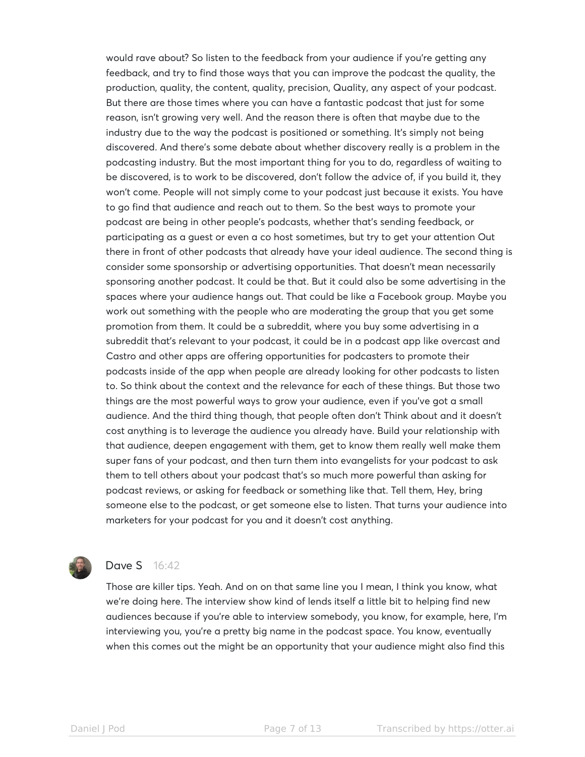would rave about? So listen to the feedback from your audience if you're getting any feedback, and try to find those ways that you can improve the podcast the quality, the production, quality, the content, quality, precision, Quality, any aspect of your podcast. But there are those times where you can have a fantastic podcast that just for some reason, isn't growing very well. And the reason there is often that maybe due to the industry due to the way the podcast is positioned or something. It's simply not being discovered. And there's some debate about whether discovery really is a problem in the podcasting industry. But the most important thing for you to do, regardless of waiting to be discovered, is to work to be discovered, don't follow the advice of, if you build it, they won't come. People will not simply come to your podcast just because it exists. You have to go find that audience and reach out to them. So the best ways to promote your podcast are being in other people's podcasts, whether that's sending feedback, or participating as a guest or even a co host sometimes, but try to get your attention Out there in front of other podcasts that already have your ideal audience. The second thing is consider some sponsorship or advertising opportunities. That doesn't mean necessarily sponsoring another podcast. It could be that. But it could also be some advertising in the spaces where your audience hangs out. That could be like a Facebook group. Maybe you work out something with the people who are moderating the group that you get some promotion from them. It could be a subreddit, where you buy some advertising in a subreddit that's relevant to your podcast, it could be in a podcast app like overcast and Castro and other apps are offering opportunities for podcasters to promote their podcasts inside of the app when people are already looking for other podcasts to listen to. So think about the context and the relevance for each of these things. But those two things are the most powerful ways to grow your audience, even if you've got a small audience. And the third thing though, that people often don't Think about and it doesn't cost anything is to leverage the audience you already have. Build your relationship with that audience, deepen engagement with them, get to know them really well make them super fans of your podcast, and then turn them into evangelists for your podcast to ask them to tell others about your podcast that's so much more powerful than asking for podcast reviews, or asking for feedback or something like that. Tell them, Hey, bring someone else to the podcast, or get someone else to listen. That turns your audience into marketers for your podcast for you and it doesn't cost anything.



## Dave S 16:42

Those are killer tips. Yeah. And on on that same line you I mean, I think you know, what we're doing here. The interview show kind of lends itself a little bit to helping find new audiences because if you're able to interview somebody, you know, for example, here, I'm interviewing you, you're a pretty big name in the podcast space. You know, eventually when this comes out the might be an opportunity that your audience might also find this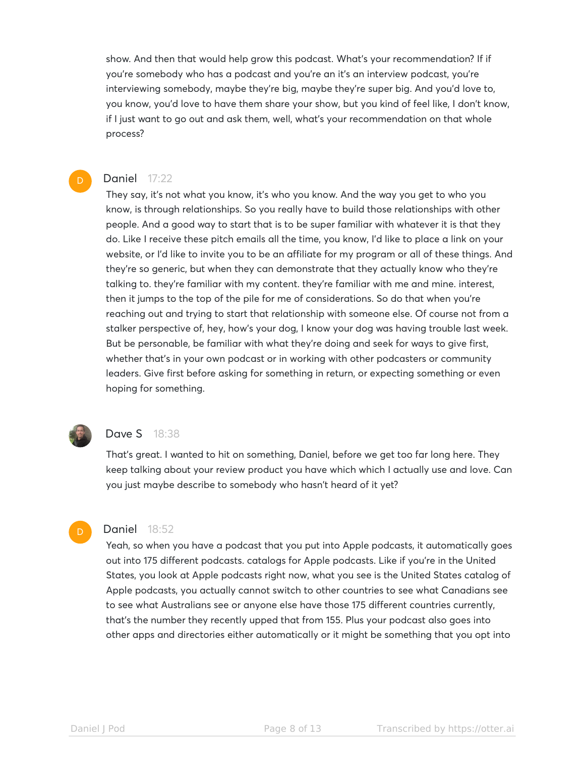show. And then that would help grow this podcast. What's your recommendation? If if you're somebody who has a podcast and you're an it's an interview podcast, you're interviewing somebody, maybe they're big, maybe they're super big. And you'd love to, you know, you'd love to have them share your show, but you kind of feel like, I don't know, if I just want to go out and ask them, well, what's your recommendation on that whole process?

#### Daniel 17:22

D

They say, it's not what you know, it's who you know. And the way you get to who you know, is through relationships. So you really have to build those relationships with other people. And a good way to start that is to be super familiar with whatever it is that they do. Like I receive these pitch emails all the time, you know, I'd like to place a link on your website, or I'd like to invite you to be an affiliate for my program or all of these things. And they're so generic, but when they can demonstrate that they actually know who they're talking to. they're familiar with my content. they're familiar with me and mine. interest, then it jumps to the top of the pile for me of considerations. So do that when you're reaching out and trying to start that relationship with someone else. Of course not from a stalker perspective of, hey, how's your dog, I know your dog was having trouble last week. But be personable, be familiar with what they're doing and seek for ways to give first, whether that's in your own podcast or in working with other podcasters or community leaders. Give first before asking for something in return, or expecting something or even hoping for something.



## Dave S 18:38

That's great. I wanted to hit on something, Daniel, before we get too far long here. They keep talking about your review product you have which which I actually use and love. Can you just maybe describe to somebody who hasn't heard of it yet?

#### Daniel 18:52

Yeah, so when you have a podcast that you put into Apple podcasts, it automatically goes out into 175 different podcasts. catalogs for Apple podcasts. Like if you're in the United States, you look at Apple podcasts right now, what you see is the United States catalog of Apple podcasts, you actually cannot switch to other countries to see what Canadians see to see what Australians see or anyone else have those 175 different countries currently, that's the number they recently upped that from 155. Plus your podcast also goes into other apps and directories either automatically or it might be something that you opt into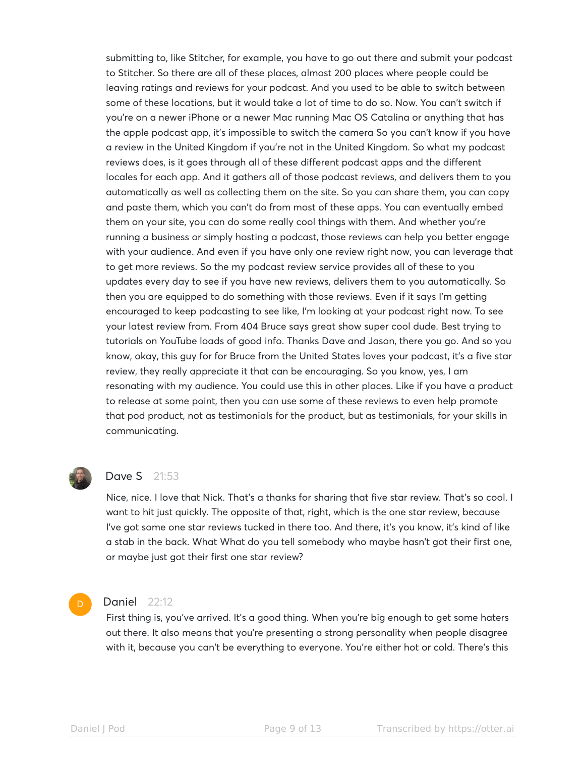submitting to, like Stitcher, for example, you have to go out there and submit your podcast to Stitcher. So there are all of these places, almost 200 places where people could be leaving ratings and reviews for your podcast. And you used to be able to switch between some of these locations, but it would take a lot of time to do so. Now. You can't switch if you're on a newer iPhone or a newer Mac running Mac OS Catalina or anything that has the apple podcast app, it's impossible to switch the camera So you can't know if you have a review in the United Kingdom if you're not in the United Kingdom. So what my podcast reviews does, is it goes through all of these different podcast apps and the different locales for each app. And it gathers all of those podcast reviews, and delivers them to you automatically as well as collecting them on the site. So you can share them, you can copy and paste them, which you can't do from most of these apps. You can eventually embed them on your site, you can do some really cool things with them. And whether you're running a business or simply hosting a podcast, those reviews can help you better engage with your audience. And even if you have only one review right now, you can leverage that to get more reviews. So the my podcast review service provides all of these to you updates every day to see if you have new reviews, delivers them to you automatically. So then you are equipped to do something with those reviews. Even if it says I'm getting encouraged to keep podcasting to see like, I'm looking at your podcast right now. To see your latest review from. From 404 Bruce says great show super cool dude. Best trying to tutorials on YouTube loads of good info. Thanks Dave and Jason, there you go. And so you know, okay, this guy for for Bruce from the United States loves your podcast, it's a five star review, they really appreciate it that can be encouraging. So you know, yes, I am resonating with my audience. You could use this in other places. Like if you have a product to release at some point, then you can use some of these reviews to even help promote that pod product, not as testimonials for the product, but as testimonials, for your skills in communicating.



#### **Dave S** 21:53

Nice, nice. I love that Nick. That's a thanks for sharing that five star review. That's so cool. I want to hit just quickly. The opposite of that, right, which is the one star review, because I've got some one star reviews tucked in there too. And there, it's you know, it's kind of like a stab in the back. What What do you tell somebody who maybe hasn't got their first one, or maybe just got their first one star review?

#### D

#### Daniel 22:12

First thing is, you've arrived. It's a good thing. When you're big enough to get some haters out there. It also means that you're presenting a strong personality when people disagree with it, because you can't be everything to everyone. You're either hot or cold. There's this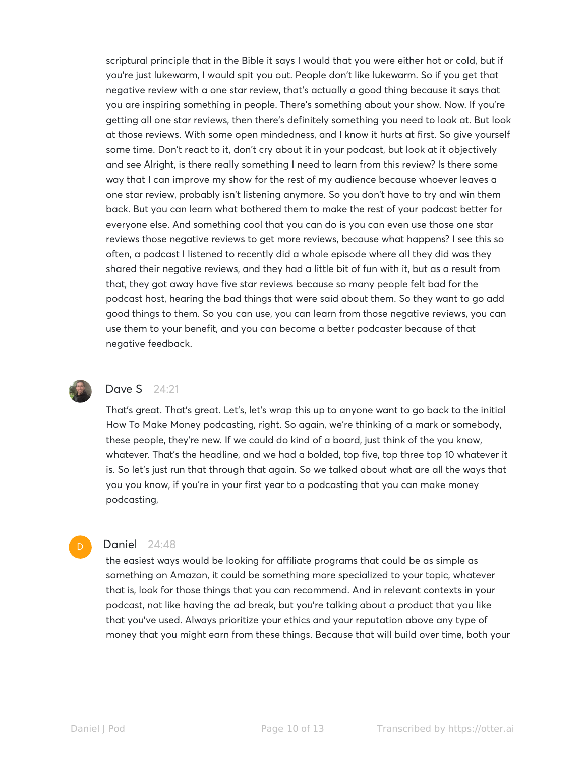scriptural principle that in the Bible it says I would that you were either hot or cold, but if you're just lukewarm, I would spit you out. People don't like lukewarm. So if you get that negative review with a one star review, that's actually a good thing because it says that you are inspiring something in people. There's something about your show. Now. If you're getting all one star reviews, then there's definitely something you need to look at. But look at those reviews. With some open mindedness, and I know it hurts at first. So give yourself some time. Don't react to it, don't cry about it in your podcast, but look at it objectively and see Alright, is there really something I need to learn from this review? Is there some way that I can improve my show for the rest of my audience because whoever leaves a one star review, probably isn't listening anymore. So you don't have to try and win them back. But you can learn what bothered them to make the rest of your podcast better for everyone else. And something cool that you can do is you can even use those one star reviews those negative reviews to get more reviews, because what happens? I see this so often, a podcast I listened to recently did a whole episode where all they did was they shared their negative reviews, and they had a little bit of fun with it, but as a result from that, they got away have five star reviews because so many people felt bad for the podcast host, hearing the bad things that were said about them. So they want to go add good things to them. So you can use, you can learn from those negative reviews, you can use them to your benefit, and you can become a better podcaster because of that negative feedback.



D

# Dave S 24:21

That's great. That's great. Let's, let's wrap this up to anyone want to go back to the initial How To Make Money podcasting, right. So again, we're thinking of a mark or somebody, these people, they're new. If we could do kind of a board, just think of the you know, whatever. That's the headline, and we had a bolded, top five, top three top 10 whatever it is. So let's just run that through that again. So we talked about what are all the ways that you you know, if you're in your first year to a podcasting that you can make money podcasting,

#### Daniel 24:48

the easiest ways would be looking for affiliate programs that could be as simple as something on Amazon, it could be something more specialized to your topic, whatever that is, look for those things that you can recommend. And in relevant contexts in your podcast, not like having the ad break, but you're talking about a product that you like that you've used. Always prioritize your ethics and your reputation above any type of money that you might earn from these things. Because that will build over time, both your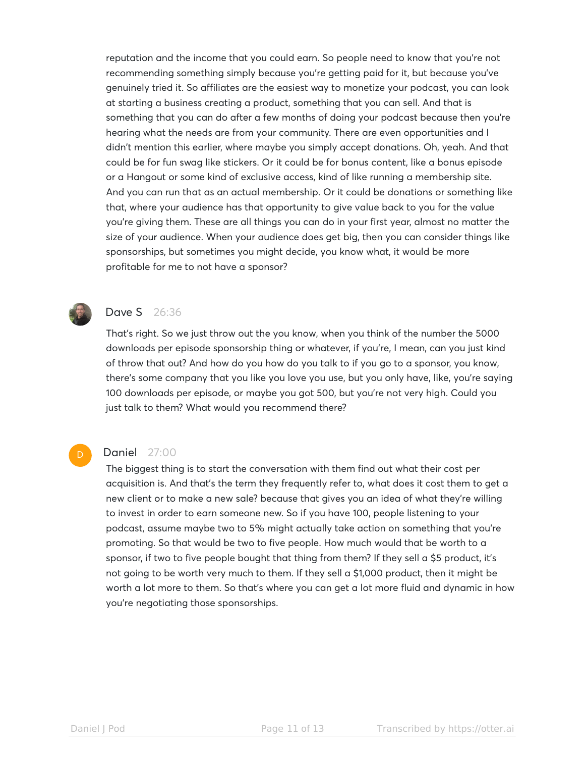reputation and the income that you could earn. So people need to know that you're not recommending something simply because you're getting paid for it, but because you've genuinely tried it. So affiliates are the easiest way to monetize your podcast, you can look at starting a business creating a product, something that you can sell. And that is something that you can do after a few months of doing your podcast because then you're hearing what the needs are from your community. There are even opportunities and I didn't mention this earlier, where maybe you simply accept donations. Oh, yeah. And that could be for fun swag like stickers. Or it could be for bonus content, like a bonus episode or a Hangout or some kind of exclusive access, kind of like running a membership site. And you can run that as an actual membership. Or it could be donations or something like that, where your audience has that opportunity to give value back to you for the value you're giving them. These are all things you can do in your first year, almost no matter the size of your audience. When your audience does get big, then you can consider things like sponsorships, but sometimes you might decide, you know what, it would be more profitable for me to not have a sponsor?



D

# Dave S 26:36

That's right. So we just throw out the you know, when you think of the number the 5000 downloads per episode sponsorship thing or whatever, if you're, I mean, can you just kind of throw that out? And how do you how do you talk to if you go to a sponsor, you know, there's some company that you like you love you use, but you only have, like, you're saying 100 downloads per episode, or maybe you got 500, but you're not very high. Could you just talk to them? What would you recommend there?

## Daniel 27:00

The biggest thing is to start the conversation with them find out what their cost per acquisition is. And that's the term they frequently refer to, what does it cost them to get a new client or to make a new sale? because that gives you an idea of what they're willing to invest in order to earn someone new. So if you have 100, people listening to your podcast, assume maybe two to 5% might actually take action on something that you're promoting. So that would be two to five people. How much would that be worth to a sponsor, if two to five people bought that thing from them? If they sell a \$5 product, it's not going to be worth very much to them. If they sell a \$1,000 product, then it might be worth a lot more to them. So that's where you can get a lot more fluid and dynamic in how you're negotiating those sponsorships.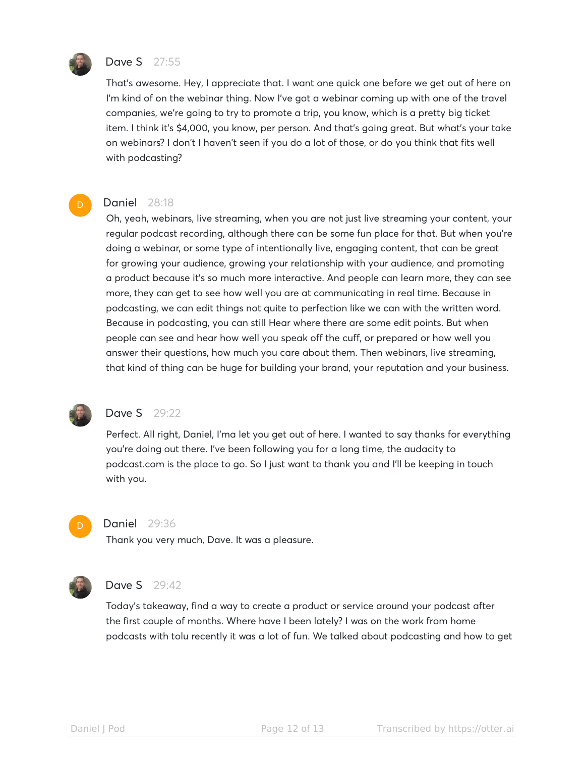

D

## Dave S 27:55

That's awesome. Hey, I appreciate that. I want one quick one before we get out of here on I'm kind of on the webinar thing. Now I've got a webinar coming up with one of the travel companies, we're going to try to promote a trip, you know, which is a pretty big ticket item. I think it's \$4,000, you know, per person. And that's going great. But what's your take on webinars? I don't I haven't seen if you do a lot of those, or do you think that fits well with podcasting?

#### Daniel 28:18

Oh, yeah, webinars, live streaming, when you are not just live streaming your content, your regular podcast recording, although there can be some fun place for that. But when you're doing a webinar, or some type of intentionally live, engaging content, that can be great for growing your audience, growing your relationship with your audience, and promoting a product because it's so much more interactive. And people can learn more, they can see more, they can get to see how well you are at communicating in real time. Because in podcasting, we can edit things not quite to perfection like we can with the written word. Because in podcasting, you can still Hear where there are some edit points. But when people can see and hear how well you speak off the cuff, or prepared or how well you answer their questions, how much you care about them. Then webinars, live streaming, that kind of thing can be huge for building your brand, your reputation and your business.



## Dave S 29:22

Perfect. All right, Daniel, I'ma let you get out of here. I wanted to say thanks for everything you're doing out there. I've been following you for a long time, the audacity to podcast.com is the place to go. So I just want to thank you and I'll be keeping in touch with you.



#### Daniel 29:36

Thank you very much, Dave. It was a pleasure.



## Dave S 29:42

Today's takeaway, find a way to create a product or service around your podcast after the first couple of months. Where have I been lately? I was on the work from home podcasts with tolu recently it was a lot of fun. We talked about podcasting and how to get